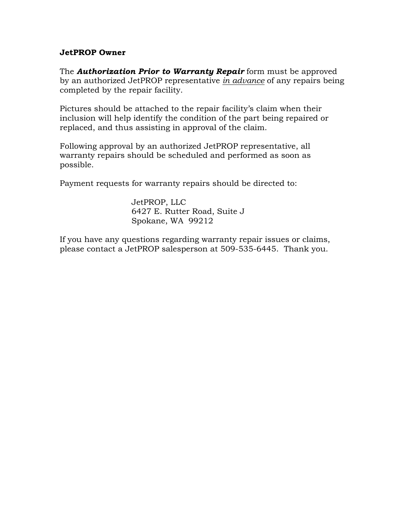## **JetPROP Owner**

The *Authorization Prior to Warranty Repair* form must be approved by an authorized JetPROP representative *in advance* of any repairs being completed by the repair facility.

Pictures should be attached to the repair facility's claim when their inclusion will help identify the condition of the part being repaired or replaced, and thus assisting in approval of the claim.

Following approval by an authorized JetPROP representative, all warranty repairs should be scheduled and performed as soon as possible.

Payment requests for warranty repairs should be directed to:

JetPROP, LLC 6427 E. Rutter Road, Suite J Spokane, WA 99212

If you have any questions regarding warranty repair issues or claims, please contact a JetPROP salesperson at 509-535-6445. Thank you.